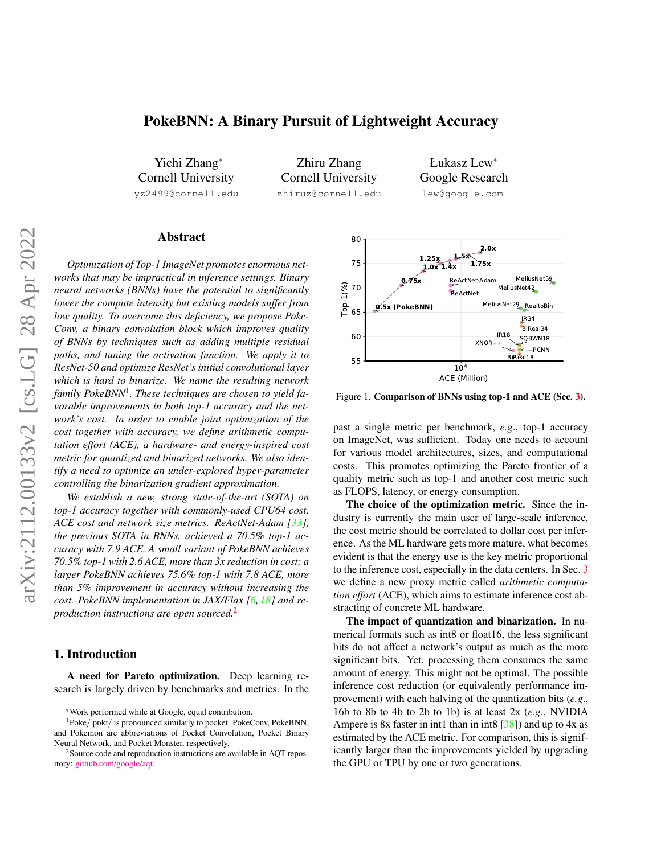# <span id="page-0-3"></span>PokeBNN: A Binary Pursuit of Lightweight Accuracy

Yichi Zhang\* Cornell University yz2499@cornell.edu

Zhiru Zhang Cornell University zhiruz@cornell.edu

Łukasz Lew\* Google Research lew@google.com

# Abstract

*Optimization of Top-1 ImageNet promotes enormous networks that may be impractical in inference settings. Binary neural networks (BNNs) have the potential to significantly lower the compute intensity but existing models suffer from low quality. To overcome this deficiency, we propose Poke-Conv, a binary convolution block which improves quality of BNNs by techniques such as adding multiple residual paths, and tuning the activation function. We apply it to ResNet-50 and optimize ResNet's initial convolutional layer which is hard to binarize. We name the resulting network family PokeBNN*[1](#page-0-0) *. These techniques are chosen to yield favorable improvements in both top-1 accuracy and the network's cost. In order to enable joint optimization of the cost together with accuracy, we define arithmetic computation effort (ACE), a hardware- and energy-inspired cost metric for quantized and binarized networks. We also identify a need to optimize an under-explored hyper-parameter controlling the binarization gradient approximation.*

*We establish a new, strong state-of-the-art (SOTA) on top-1 accuracy together with commonly-used CPU64 cost, ACE cost and network size metrics. ReActNet-Adam [\[33\]](#page-9-0), the previous SOTA in BNNs, achieved a 70.5% top-1 accuracy with 7.9 ACE. A small variant of PokeBNN achieves 70.5% top-1 with 2.6 ACE, more than 3x reduction in cost; a larger PokeBNN achieves 75.6% top-1 with 7.8 ACE, more than 5% improvement in accuracy without increasing the cost. PokeBNN implementation in JAX/Flax [\[6,](#page-8-0) [18\]](#page-8-1) and reproduction instructions are open sourced.*[2](#page-0-1)

## 1. Introduction

A need for Pareto optimization. Deep learning research is largely driven by benchmarks and metrics. In the

<span id="page-0-2"></span>

Figure 1. Comparison of BNNs using top-1 and ACE (Sec. [3\)](#page-1-0).

past a single metric per benchmark, *e.g*., top-1 accuracy on ImageNet, was sufficient. Today one needs to account for various model architectures, sizes, and computational costs. This promotes optimizing the Pareto frontier of a quality metric such as top-1 and another cost metric such as FLOPS, latency, or energy consumption.

The choice of the optimization metric. Since the industry is currently the main user of large-scale inference, the cost metric should be correlated to dollar cost per inference. As the ML hardware gets more mature, what becomes evident is that the energy use is the key metric proportional to the inference cost, especially in the data centers. In Sec. [3](#page-1-0) we define a new proxy metric called *arithmetic computation effort* (ACE), which aims to estimate inference cost abstracting of concrete ML hardware.

The impact of quantization and binarization. In numerical formats such as int8 or float16, the less significant bits do not affect a network's output as much as the more significant bits. Yet, processing them consumes the same amount of energy. This might not be optimal. The possible inference cost reduction (or equivalently performance improvement) with each halving of the quantization bits (*e.g*., 16b to 8b to 4b to 2b to 1b) is at least 2x (*e.g*., NVIDIA Ampere is 8x faster in int1 than in int8  $[38]$ ) and up to 4x as estimated by the ACE metric. For comparison, this is significantly larger than the improvements yielded by upgrading the GPU or TPU by one or two generations.

<span id="page-0-0"></span><sup>\*</sup>Work performed while at Google, equal contribution.

<sup>&</sup>lt;sup>1</sup>Poke/'ppkI/ is pronounced similarly to pocket. PokeConv, PokeBNN, and Pokemon are abbreviations of Pocket Convolution, Pocket Binary Neural Network, and Pocket Monster, respectively.

<span id="page-0-1"></span><sup>2</sup>Source code and reproduction instructions are available in AQT repository: [github.com/google/aqt.](https://github.com/google/aqt)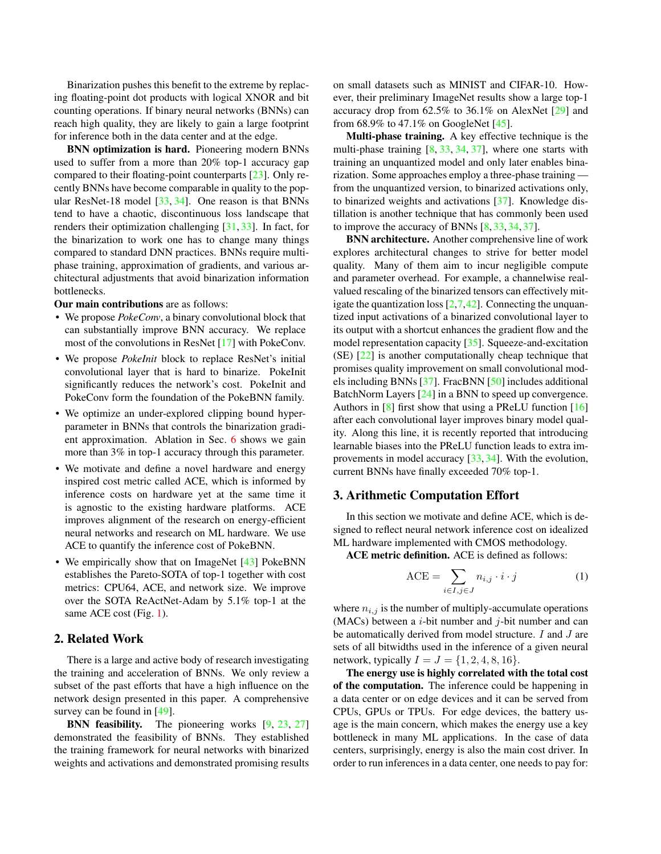<span id="page-1-1"></span>Binarization pushes this benefit to the extreme by replacing floating-point dot products with logical XNOR and bit counting operations. If binary neural networks (BNNs) can reach high quality, they are likely to gain a large footprint for inference both in the data center and at the edge.

BNN optimization is hard. Pioneering modern BNNs used to suffer from a more than 20% top-1 accuracy gap compared to their floating-point counterparts [\[23\]](#page-8-2). Only recently BNNs have become comparable in quality to the popular ResNet-18 model [\[33,](#page-9-0) [34\]](#page-9-2). One reason is that BNNs tend to have a chaotic, discontinuous loss landscape that renders their optimization challenging [\[31,](#page-9-3) [33\]](#page-9-0). In fact, for the binarization to work one has to change many things compared to standard DNN practices. BNNs require multiphase training, approximation of gradients, and various architectural adjustments that avoid binarization information bottlenecks.

Our main contributions are as follows:

- We propose *PokeConv*, a binary convolutional block that can substantially improve BNN accuracy. We replace most of the convolutions in ResNet [\[17\]](#page-8-3) with PokeConv.
- We propose *PokeInit* block to replace ResNet's initial convolutional layer that is hard to binarize. PokeInit significantly reduces the network's cost. PokeInit and PokeConv form the foundation of the PokeBNN family.
- We optimize an under-explored clipping bound hyperparameter in BNNs that controls the binarization gradient approximation. Ablation in Sec. [6](#page-6-0) shows we gain more than 3% in top-1 accuracy through this parameter.
- We motivate and define a novel hardware and energy inspired cost metric called ACE, which is informed by inference costs on hardware yet at the same time it is agnostic to the existing hardware platforms. ACE improves alignment of the research on energy-efficient neural networks and research on ML hardware. We use ACE to quantify the inference cost of PokeBNN.
- We empirically show that on ImageNet [\[43\]](#page-9-4) PokeBNN establishes the Pareto-SOTA of top-1 together with cost metrics: CPU64, ACE, and network size. We improve over the SOTA ReActNet-Adam by 5.1% top-1 at the same ACE cost (Fig. [1\)](#page-0-2).

## 2. Related Work

There is a large and active body of research investigating the training and acceleration of BNNs. We only review a subset of the past efforts that have a high influence on the network design presented in this paper. A comprehensive survey can be found in [\[49\]](#page-9-5).

**BNN feasibility.** The pioneering works [\[9,](#page-8-4) [23,](#page-8-2) [27\]](#page-9-6) demonstrated the feasibility of BNNs. They established the training framework for neural networks with binarized weights and activations and demonstrated promising results on small datasets such as MINIST and CIFAR-10. However, their preliminary ImageNet results show a large top-1 accuracy drop from 62.5% to 36.1% on AlexNet [\[29\]](#page-9-7) and from 68.9% to 47.1% on GoogleNet [\[45\]](#page-9-8).

Multi-phase training. A key effective technique is the multi-phase training [\[8,](#page-8-5) [33,](#page-9-0) [34,](#page-9-2) [37\]](#page-9-9), where one starts with training an unquantized model and only later enables binarization. Some approaches employ a three-phase training from the unquantized version, to binarized activations only, to binarized weights and activations [\[37\]](#page-9-9). Knowledge distillation is another technique that has commonly been used to improve the accuracy of BNNs [\[8,](#page-8-5) [33,](#page-9-0) [34,](#page-9-2) [37\]](#page-9-9).

BNN architecture. Another comprehensive line of work explores architectural changes to strive for better model quality. Many of them aim to incur negligible compute and parameter overhead. For example, a channelwise realvalued rescaling of the binarized tensors can effectively mitigate the quantization loss  $[2,7,42]$  $[2,7,42]$  $[2,7,42]$ . Connecting the unquantized input activations of a binarized convolutional layer to its output with a shortcut enhances the gradient flow and the model representation capacity [\[35\]](#page-9-11). Squeeze-and-excitation (SE) [\[22\]](#page-8-8) is another computationally cheap technique that promises quality improvement on small convolutional models including BNNs [\[37\]](#page-9-9). FracBNN [\[50\]](#page-9-12) includes additional BatchNorm Layers [\[24\]](#page-8-9) in a BNN to speed up convergence. Authors in [\[8\]](#page-8-5) first show that using a PReLU function [\[16\]](#page-8-10) after each convolutional layer improves binary model quality. Along this line, it is recently reported that introducing learnable biases into the PReLU function leads to extra improvements in model accuracy [\[33,](#page-9-0) [34\]](#page-9-2). With the evolution, current BNNs have finally exceeded 70% top-1.

### <span id="page-1-0"></span>3. Arithmetic Computation Effort

In this section we motivate and define ACE, which is designed to reflect neural network inference cost on idealized ML hardware implemented with CMOS methodology.

ACE metric definition. ACE is defined as follows:

$$
\text{ACE} = \sum_{i \in I, j \in J} n_{i,j} \cdot i \cdot j \tag{1}
$$

where  $n_{i,j}$  is the number of multiply-accumulate operations (MACs) between a  $i$ -bit number and  $j$ -bit number and can be automatically derived from model structure. I and J are sets of all bitwidths used in the inference of a given neural network, typically  $I = J = \{1, 2, 4, 8, 16\}.$ 

The energy use is highly correlated with the total cost of the computation. The inference could be happening in a data center or on edge devices and it can be served from CPUs, GPUs or TPUs. For edge devices, the battery usage is the main concern, which makes the energy use a key bottleneck in many ML applications. In the case of data centers, surprisingly, energy is also the main cost driver. In order to run inferences in a data center, one needs to pay for: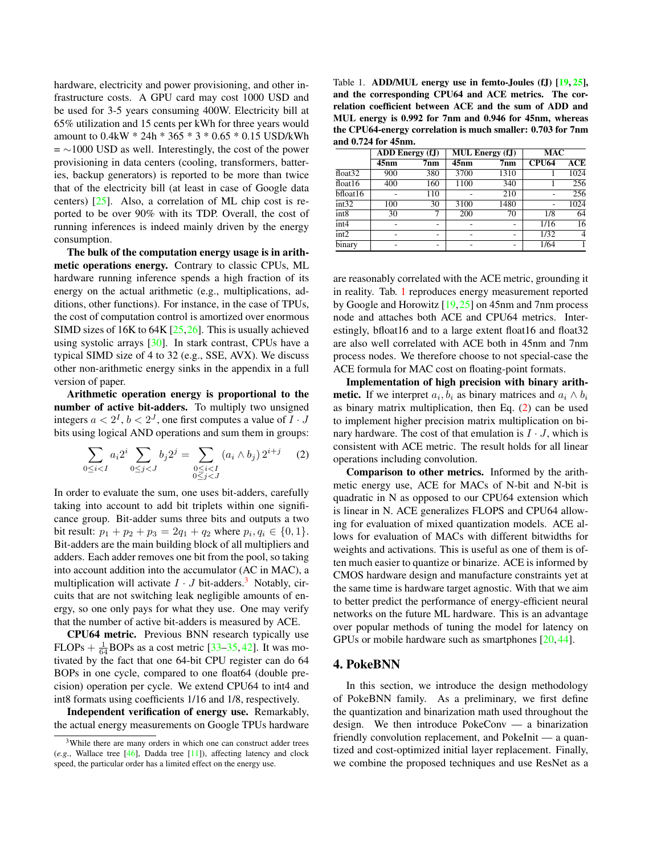<span id="page-2-3"></span>hardware, electricity and power provisioning, and other infrastructure costs. A GPU card may cost 1000 USD and be used for 3-5 years consuming 400W. Electricity bill at 65% utilization and 15 cents per kWh for three years would amount to 0.4kW \* 24h \* 365 \* 3 \* 0.65 \* 0.15 USD/kWh  $=$  ~1000 USD as well. Interestingly, the cost of the power provisioning in data centers (cooling, transformers, batteries, backup generators) is reported to be more than twice that of the electricity bill (at least in case of Google data centers) [\[25\]](#page-8-11). Also, a correlation of ML chip cost is reported to be over 90% with its TDP. Overall, the cost of running inferences is indeed mainly driven by the energy consumption.

The bulk of the computation energy usage is in arithmetic operations energy. Contrary to classic CPUs, ML hardware running inference spends a high fraction of its energy on the actual arithmetic (e.g., multiplications, additions, other functions). For instance, in the case of TPUs, the cost of computation control is amortized over enormous SIMD sizes of 16K to 64K [\[25](#page-8-11)[,26\]](#page-8-12). This is usually achieved using systolic arrays [\[30\]](#page-9-13). In stark contrast, CPUs have a typical SIMD size of 4 to 32 (e.g., SSE, AVX). We discuss other non-arithmetic energy sinks in the appendix in a full version of paper.

Arithmetic operation energy is proportional to the number of active bit-adders. To multiply two unsigned integers  $a < 2^I$ ,  $b < 2^J$ , one first computes a value of  $I \cdot J$ bits using logical AND operations and sum them in groups:

<span id="page-2-2"></span>
$$
\sum_{0 \le i < I} a_i 2^i \sum_{0 \le j < J} b_j 2^j = \sum_{\substack{0 \le i < I \\ 0 \le j < J}} (a_i \wedge b_j) 2^{i+j} \tag{2}
$$

In order to evaluate the sum, one uses bit-adders, carefully taking into account to add bit triplets within one significance group. Bit-adder sums three bits and outputs a two bit result:  $p_1 + p_2 + p_3 = 2q_1 + q_2$  where  $p_i, q_i \in \{0, 1\}$ . Bit-adders are the main building block of all multipliers and adders. Each adder removes one bit from the pool, so taking into account addition into the accumulator (AC in MAC), a multiplication will activate  $I \cdot J$  bit-adders.<sup>[3](#page-2-0)</sup> Notably, circuits that are not switching leak negligible amounts of energy, so one only pays for what they use. One may verify that the number of active bit-adders is measured by ACE.

CPU64 metric. Previous BNN research typically use FLOPs  $+ \frac{1}{64}$ BOPs as a cost metric [\[33](#page-9-0)[–35,](#page-9-11) [42\]](#page-9-10). It was motivated by the fact that one 64-bit CPU register can do 64 BOPs in one cycle, compared to one float64 (double precision) operation per cycle. We extend CPU64 to int4 and int8 formats using coefficients 1/16 and 1/8, respectively.

Independent verification of energy use. Remarkably, the actual energy measurements on Google TPUs hardware

<span id="page-2-1"></span>Table 1. ADD/MUL energy use in femto-Joules (fJ) [\[19,](#page-8-14) [25\]](#page-8-11), and the corresponding CPU64 and ACE metrics. The correlation coefficient between ACE and the sum of ADD and MUL energy is 0.992 for 7nm and 0.946 for 45nm, whereas the CPU64-energy correlation is much smaller: 0.703 for 7nm and 0.724 for 45nm.

|                             | <b>ADD</b> Energy (fJ) |                 |                    | <b>MUL Energy (fJ)</b> | <b>MAC</b>   |                  |  |
|-----------------------------|------------------------|-----------------|--------------------|------------------------|--------------|------------------|--|
|                             | $\overline{45}$ nm     | 7nm             | $\overline{45}$ nm | 7 <sub>nm</sub>        | <b>CPU64</b> | $\overline{ACE}$ |  |
| $\overline{\text{float}32}$ | 900                    | 380             | 3700               | 1310                   |              | 1024             |  |
| float16                     | 400                    | 160             | 1100               | 340                    |              | 256              |  |
| $b$ float16                 |                        | 110             |                    | 210                    |              | 256              |  |
| int32                       | 100                    | $\overline{30}$ | 3100               | 1480                   |              | 1024             |  |
| int8                        | 30                     |                 | 200                | 70                     | 1/8          | $\overline{64}$  |  |
| int4                        |                        |                 |                    | -                      | 1/16         | 16               |  |
| int2                        |                        | -               |                    | -                      | 1/32         | 4                |  |
| binary                      | ۰                      | ۰.              |                    | -                      | 1/64         |                  |  |

are reasonably correlated with the ACE metric, grounding it in reality. Tab. [1](#page-2-1) reproduces energy measurement reported by Google and Horowitz [\[19,](#page-8-14)[25\]](#page-8-11) on 45nm and 7nm process node and attaches both ACE and CPU64 metrics. Interestingly, bfloat16 and to a large extent float16 and float32 are also well correlated with ACE both in 45nm and 7nm process nodes. We therefore choose to not special-case the ACE formula for MAC cost on floating-point formats.

Implementation of high precision with binary arith**metic.** If we interpret  $a_i, b_i$  as binary matrices and  $a_i \wedge b_i$ as binary matrix multiplication, then Eq. [\(2\)](#page-2-2) can be used to implement higher precision matrix multiplication on binary hardware. The cost of that emulation is  $I \cdot J$ , which is consistent with ACE metric. The result holds for all linear operations including convolution.

Comparison to other metrics. Informed by the arithmetic energy use, ACE for MACs of N-bit and N-bit is quadratic in N as opposed to our CPU64 extension which is linear in N. ACE generalizes FLOPS and CPU64 allowing for evaluation of mixed quantization models. ACE allows for evaluation of MACs with different bitwidths for weights and activations. This is useful as one of them is often much easier to quantize or binarize. ACE is informed by CMOS hardware design and manufacture constraints yet at the same time is hardware target agnostic. With that we aim to better predict the performance of energy-efficient neural networks on the future ML hardware. This is an advantage over popular methods of tuning the model for latency on GPUs or mobile hardware such as smartphones [\[20,](#page-8-15) [44\]](#page-9-15).

## 4. PokeBNN

In this section, we introduce the design methodology of PokeBNN family. As a preliminary, we first define the quantization and binarization math used throughout the design. We then introduce PokeConv — a binarization friendly convolution replacement, and PokeInit — a quantized and cost-optimized initial layer replacement. Finally, we combine the proposed techniques and use ResNet as a

<span id="page-2-0"></span><sup>&</sup>lt;sup>3</sup>While there are many orders in which one can construct adder trees (*e.g*., Wallace tree [\[46\]](#page-9-14), Dadda tree [\[11\]](#page-8-13)), affecting latency and clock speed, the particular order has a limited effect on the energy use.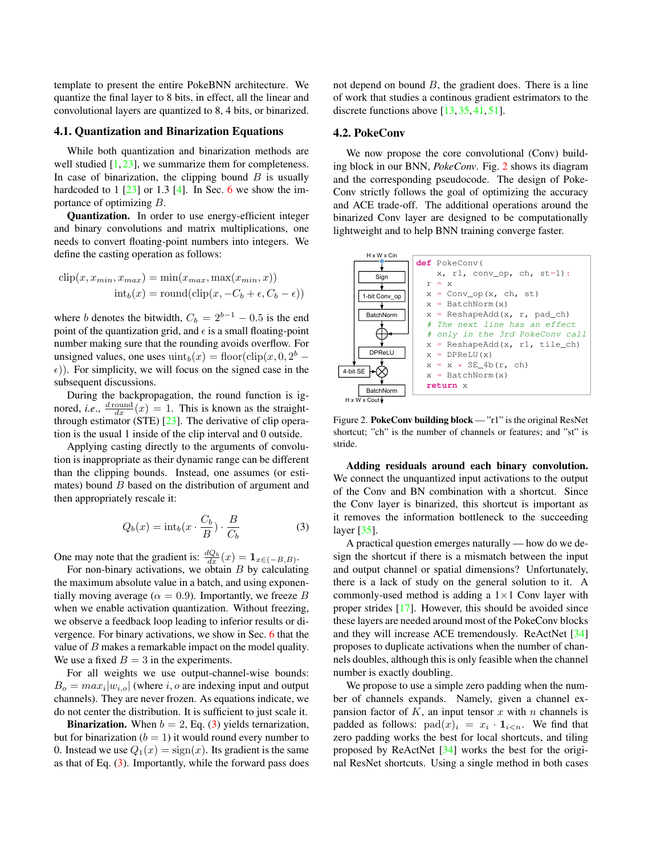<span id="page-3-2"></span>template to present the entire PokeBNN architecture. We quantize the final layer to 8 bits, in effect, all the linear and convolutional layers are quantized to 8, 4 bits, or binarized.

### 4.1. Quantization and Binarization Equations

While both quantization and binarization methods are well studied [\[1,](#page-8-16) [23\]](#page-8-2), we summarize them for completeness. In case of binarization, the clipping bound  $B$  is usually hardcoded to  $1 \left[ 23 \right]$  or  $1.3 \left[ 4 \right]$ . In Sec. [6](#page-6-0) we show the importance of optimizing B.

Quantization. In order to use energy-efficient integer and binary convolutions and matrix multiplications, one needs to convert floating-point numbers into integers. We define the casting operation as follows:

$$
clip(x, x_{min}, x_{max}) = min(x_{max}, max(x_{min}, x))
$$

$$
int_b(x) = round(clip(x, -C_b + \epsilon, C_b - \epsilon))
$$

where b denotes the bitwidth,  $C_b = 2^{b-1} - 0.5$  is the end point of the quantization grid, and  $\epsilon$  is a small floating-point number making sure that the rounding avoids overflow. For unsigned values, one uses  $\text{uint}_b(x) = \text{floor}(\text{clip}(x, 0, 2^b \epsilon$ )). For simplicity, we will focus on the signed case in the subsequent discussions.

During the backpropagation, the round function is ignored, *i.e.*,  $\frac{d \text{round}}{dx}(x) = 1$ . This is known as the straightthrough estimator (STE) [\[23\]](#page-8-2). The derivative of clip operation is the usual 1 inside of the clip interval and 0 outside.

Applying casting directly to the arguments of convolution is inappropriate as their dynamic range can be different than the clipping bounds. Instead, one assumes (or estimates) bound  $B$  based on the distribution of argument and then appropriately rescale it:

<span id="page-3-0"></span>
$$
Q_b(x) = \text{int}_b(x \cdot \frac{C_b}{B}) \cdot \frac{B}{C_b}
$$
 (3)

One may note that the gradient is:  $\frac{dQ_b}{dx}(x) = \mathbf{1}_{x \in (-B,B)}$ .

For non-binary activations, we obtain  $B$  by calculating the maximum absolute value in a batch, and using exponentially moving average ( $\alpha = 0.9$ ). Importantly, we freeze B when we enable activation quantization. Without freezing, we observe a feedback loop leading to inferior results or divergence. For binary activations, we show in Sec. [6](#page-6-0) that the value of B makes a remarkable impact on the model quality. We use a fixed  $B = 3$  in the experiments.

For all weights we use output-channel-wise bounds:  $B_o = max_i |w_{i,o}|$  (where i, o are indexing input and output channels). They are never frozen. As equations indicate, we do not center the distribution. It is sufficient to just scale it.

**Binarization.** When  $b = 2$ , Eq. [\(3\)](#page-3-0) yields ternarization, but for binarization ( $b = 1$ ) it would round every number to 0. Instead we use  $Q_1(x) = sign(x)$ . Its gradient is the same as that of Eq. [\(3\)](#page-3-0). Importantly, while the forward pass does not depend on bound  $B$ , the gradient does. There is a line of work that studies a continous gradient estrimators to the discrete functions above [\[13,](#page-8-18) [35,](#page-9-11) [41,](#page-9-16) [51\]](#page-9-17).

#### 4.2. PokeConv

We now propose the core convolutional (Conv) building block in our BNN, *PokeConv*. Fig. [2](#page-3-1) shows its diagram and the corresponding pseudocode. The design of Poke-Conv strictly follows the goal of optimizing the accuracy and ACE trade-off. The additional operations around the binarized Conv layer are designed to be computationally lightweight and to help BNN training converge faster.

<span id="page-3-1"></span>

Figure 2. PokeConv building block — "r1" is the original ResNet shortcut; "ch" is the number of channels or features; and "st" is stride.

Adding residuals around each binary convolution. We connect the unquantized input activations to the output of the Conv and BN combination with a shortcut. Since the Conv layer is binarized, this shortcut is important as it removes the information bottleneck to the succeeding layer [\[35\]](#page-9-11).

A practical question emerges naturally — how do we design the shortcut if there is a mismatch between the input and output channel or spatial dimensions? Unfortunately, there is a lack of study on the general solution to it. A commonly-used method is adding a  $1\times1$  Conv layer with proper strides [\[17\]](#page-8-3). However, this should be avoided since these layers are needed around most of the PokeConv blocks and they will increase ACE tremendously. ReActNet [\[34\]](#page-9-2) proposes to duplicate activations when the number of channels doubles, although this is only feasible when the channel number is exactly doubling.

We propose to use a simple zero padding when the number of channels expands. Namely, given a channel expansion factor of  $K$ , an input tensor  $x$  with  $n$  channels is padded as follows:  $pad(x)_i = x_i \cdot 1_{i \leq n}$ . We find that zero padding works the best for local shortcuts, and tiling proposed by ReActNet [\[34\]](#page-9-2) works the best for the original ResNet shortcuts. Using a single method in both cases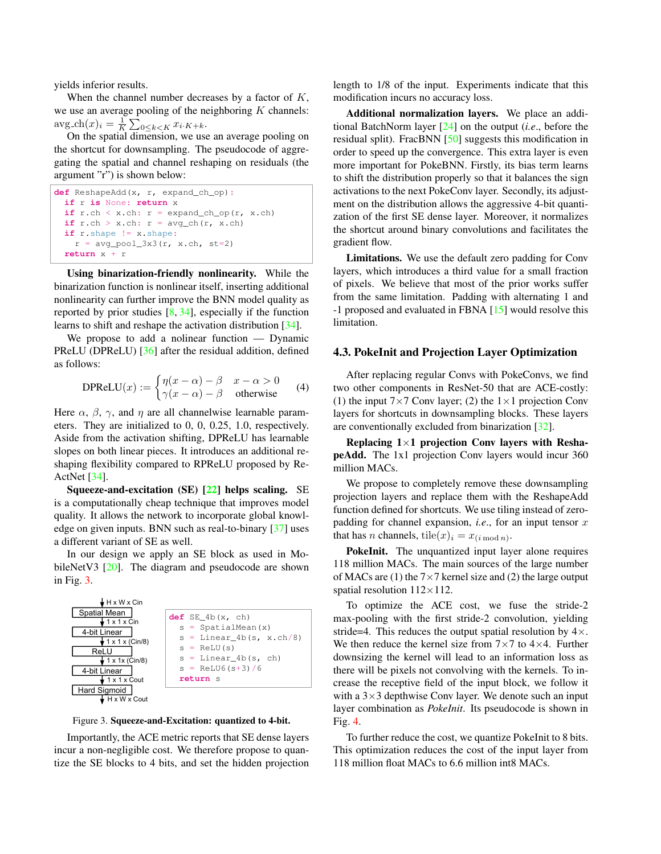<span id="page-4-1"></span>yields inferior results.

When the channel number decreases by a factor of  $K$ , we use an average pooling of the neighboring  $K$  channels:  $\arg \text{ch}(x)_i = \frac{1}{K} \sum_{0 \le k < K} x_{i \cdot K + k}.$ 

On the spatial dimension, we use an average pooling on the shortcut for downsampling. The pseudocode of aggregating the spatial and channel reshaping on residuals (the argument "r") is shown below:

```
def ReshapeAdd(x, r, expand_ch_op):
 if r is None: return x
 if r.ch < x.ch: r = expand_ch_op(r, x.ch)if r.ch > x.ch: r = avg_ch(r, x.ch)if r.shape != x.shape:
   r = avg\_pool_3x3(r, x.ch, st=2)return x + r
```
Using binarization-friendly nonlinearity. While the binarization function is nonlinear itself, inserting additional nonlinearity can further improve the BNN model quality as reported by prior studies  $[8, 34]$  $[8, 34]$  $[8, 34]$ , especially if the function learns to shift and reshape the activation distribution [\[34\]](#page-9-2).

We propose to add a nolinear function — Dynamic PReLU (DPReLU) [\[36\]](#page-9-18) after the residual addition, defined as follows:

$$
\text{DPReLU}(x) := \begin{cases} \eta(x - \alpha) - \beta & x - \alpha > 0 \\ \gamma(x - \alpha) - \beta & \text{otherwise} \end{cases} \tag{4}
$$

Here  $\alpha$ ,  $\beta$ ,  $\gamma$ , and  $\eta$  are all channelwise learnable parameters. They are initialized to 0, 0, 0.25, 1.0, respectively. Aside from the activation shifting, DPReLU has learnable slopes on both linear pieces. It introduces an additional reshaping flexibility compared to RPReLU proposed by Re-ActNet [\[34\]](#page-9-2).

Squeeze-and-excitation (SE) [\[22\]](#page-8-8) helps scaling. SE is a computationally cheap technique that improves model quality. It allows the network to incorporate global knowledge on given inputs. BNN such as real-to-binary [\[37\]](#page-9-9) uses a different variant of SE as well.

In our design we apply an SE block as used in Mo-bileNetV3 [\[20\]](#page-8-15). The diagram and pseudocode are shown in Fig. [3.](#page-4-0)

<span id="page-4-0"></span>

Figure 3. Squeeze-and-Excitation: quantized to 4-bit.

Importantly, the ACE metric reports that SE dense layers incur a non-negligible cost. We therefore propose to quantize the SE blocks to 4 bits, and set the hidden projection length to 1/8 of the input. Experiments indicate that this modification incurs no accuracy loss.

Additional normalization layers. We place an additional BatchNorm layer [\[24\]](#page-8-9) on the output (*i.e*., before the residual split). FracBNN [\[50\]](#page-9-12) suggests this modification in order to speed up the convergence. This extra layer is even more important for PokeBNN. Firstly, its bias term learns to shift the distribution properly so that it balances the sign activations to the next PokeConv layer. Secondly, its adjustment on the distribution allows the aggressive 4-bit quantization of the first SE dense layer. Moreover, it normalizes the shortcut around binary convolutions and facilitates the gradient flow.

Limitations. We use the default zero padding for Conv layers, which introduces a third value for a small fraction of pixels. We believe that most of the prior works suffer from the same limitation. Padding with alternating 1 and -1 proposed and evaluated in FBNA [\[15\]](#page-8-19) would resolve this limitation.

#### 4.3. PokeInit and Projection Layer Optimization

After replacing regular Convs with PokeConvs, we find two other components in ResNet-50 that are ACE-costly: (1) the input  $7\times7$  Conv layer; (2) the  $1\times1$  projection Conv layers for shortcuts in downsampling blocks. These layers are conventionally excluded from binarization [\[32\]](#page-9-19).

Replacing  $1\times1$  projection Conv layers with ReshapeAdd. The 1x1 projection Conv layers would incur 360 million MACs.

We propose to completely remove these downsampling projection layers and replace them with the ReshapeAdd function defined for shortcuts. We use tiling instead of zeropadding for channel expansion, *i.e.*, for an input tensor  $x$ that has *n* channels, tile(*x*)<sub>*i*</sub> =  $x_{(i \mod n)}$ .

PokeInit. The unquantized input layer alone requires 118 million MACs. The main sources of the large number of MACs are (1) the  $7\times7$  kernel size and (2) the large output spatial resolution  $112\times112$ .

To optimize the ACE cost, we fuse the stride-2 max-pooling with the first stride-2 convolution, yielding stride=4. This reduces the output spatial resolution by  $4 \times$ . We then reduce the kernel size from  $7 \times 7$  to  $4 \times 4$ . Further downsizing the kernel will lead to an information loss as there will be pixels not convolving with the kernels. To increase the receptive field of the input block, we follow it with a  $3\times3$  depthwise Conv layer. We denote such an input layer combination as *PokeInit*. Its pseudocode is shown in Fig. [4.](#page-5-0)

To further reduce the cost, we quantize PokeInit to 8 bits. This optimization reduces the cost of the input layer from 118 million float MACs to 6.6 million int8 MACs.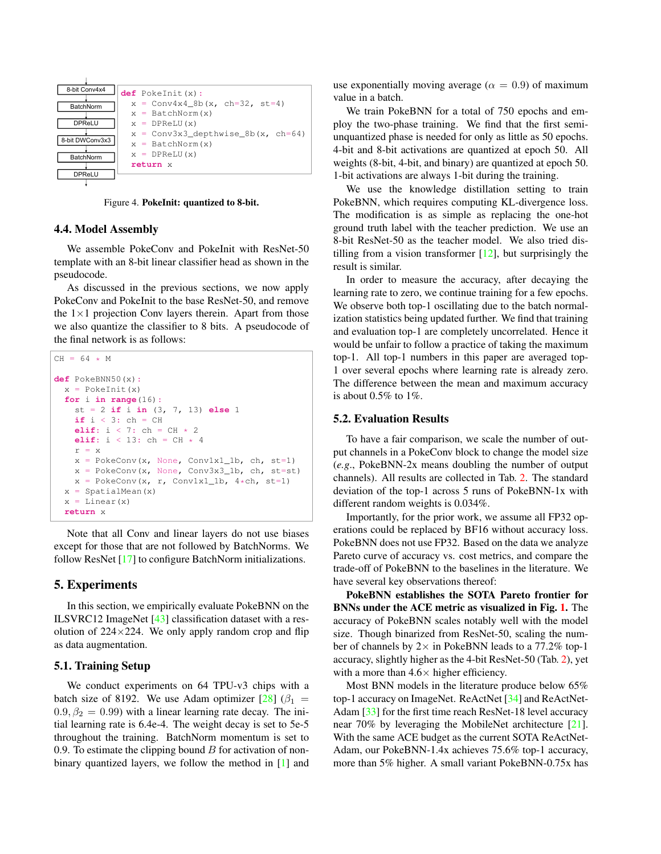<span id="page-5-1"></span><span id="page-5-0"></span>

Figure 4. PokeInit: quantized to 8-bit.

#### 4.4. Model Assembly

We assemble PokeConv and PokeInit with ResNet-50 template with an 8-bit linear classifier head as shown in the pseudocode.

As discussed in the previous sections, we now apply PokeConv and PokeInit to the base ResNet-50, and remove the  $1\times1$  projection Conv layers therein. Apart from those we also quantize the classifier to 8 bits. A pseudocode of the final network is as follows:

```
CH = 64 \times Mdef PokeBNN50(x):
x = PokeInit(x)for i in range(16):
   st = 2 if i in (3, 7, 13) else 1
  if i < 3: ch = CHelif: i < 7: ch = CH * 2
   elif: i < 13: ch = CH * 4r = xx = PokeConv(x, None, Conv1x1_1b, ch, st=1)x = PokeConv(x, None, Conv3x3_1b, ch, st=st)x = PokeConv(x, r, Conv1x1_1b, 4*ch, st=1)x = SpatialMean(x)
 x = Linear(x)return x
```
Note that all Conv and linear layers do not use biases except for those that are not followed by BatchNorms. We follow ResNet [\[17\]](#page-8-3) to configure BatchNorm initializations.

## 5. Experiments

In this section, we empirically evaluate PokeBNN on the ILSVRC12 ImageNet [\[43\]](#page-9-4) classification dataset with a resolution of  $224 \times 224$ . We only apply random crop and flip as data augmentation.

#### 5.1. Training Setup

We conduct experiments on 64 TPU-v3 chips with a batch size of 8192. We use Adam optimizer  $[28]$  ( $\beta_1$  =  $0.9, \beta_2 = 0.99$ ) with a linear learning rate decay. The initial learning rate is 6.4e-4. The weight decay is set to 5e-5 throughout the training. BatchNorm momentum is set to 0.9. To estimate the clipping bound  $B$  for activation of nonbinary quantized layers, we follow the method in [\[1\]](#page-8-16) and use exponentially moving average ( $\alpha = 0.9$ ) of maximum value in a batch.

We train PokeBNN for a total of 750 epochs and employ the two-phase training. We find that the first semiunquantized phase is needed for only as little as 50 epochs. 4-bit and 8-bit activations are quantized at epoch 50. All weights (8-bit, 4-bit, and binary) are quantized at epoch 50. 1-bit activations are always 1-bit during the training.

We use the knowledge distillation setting to train PokeBNN, which requires computing KL-divergence loss. The modification is as simple as replacing the one-hot ground truth label with the teacher prediction. We use an 8-bit ResNet-50 as the teacher model. We also tried distilling from a vision transformer  $[12]$ , but surprisingly the result is similar.

In order to measure the accuracy, after decaying the learning rate to zero, we continue training for a few epochs. We observe both top-1 oscillating due to the batch normalization statistics being updated further. We find that training and evaluation top-1 are completely uncorrelated. Hence it would be unfair to follow a practice of taking the maximum top-1. All top-1 numbers in this paper are averaged top-1 over several epochs where learning rate is already zero. The difference between the mean and maximum accuracy is about  $0.5\%$  to  $1\%$ .

#### 5.2. Evaluation Results

To have a fair comparison, we scale the number of output channels in a PokeConv block to change the model size (*e.g*., PokeBNN-2x means doubling the number of output channels). All results are collected in Tab. [2.](#page-7-0) The standard deviation of the top-1 across 5 runs of PokeBNN-1x with different random weights is 0.034%.

Importantly, for the prior work, we assume all FP32 operations could be replaced by BF16 without accuracy loss. PokeBNN does not use FP32. Based on the data we analyze Pareto curve of accuracy vs. cost metrics, and compare the trade-off of PokeBNN to the baselines in the literature. We have several key observations thereof:

PokeBNN establishes the SOTA Pareto frontier for BNNs under the ACE metric as visualized in Fig. [1.](#page-0-2) The accuracy of PokeBNN scales notably well with the model size. Though binarized from ResNet-50, scaling the number of channels by  $2 \times$  in PokeBNN leads to a 77.2% top-1 accuracy, slightly higher as the 4-bit ResNet-50 (Tab. [2\)](#page-7-0), yet with a more than  $4.6\times$  higher efficiency.

Most BNN models in the literature produce below 65% top-1 accuracy on ImageNet. ReActNet [\[34\]](#page-9-2) and ReActNet-Adam [\[33\]](#page-9-0) for the first time reach ResNet-18 level accuracy near 70% by leveraging the MobileNet architecture [\[21\]](#page-8-21). With the same ACE budget as the current SOTA ReActNet-Adam, our PokeBNN-1.4x achieves 75.6% top-1 accuracy, more than 5% higher. A small variant PokeBNN-0.75x has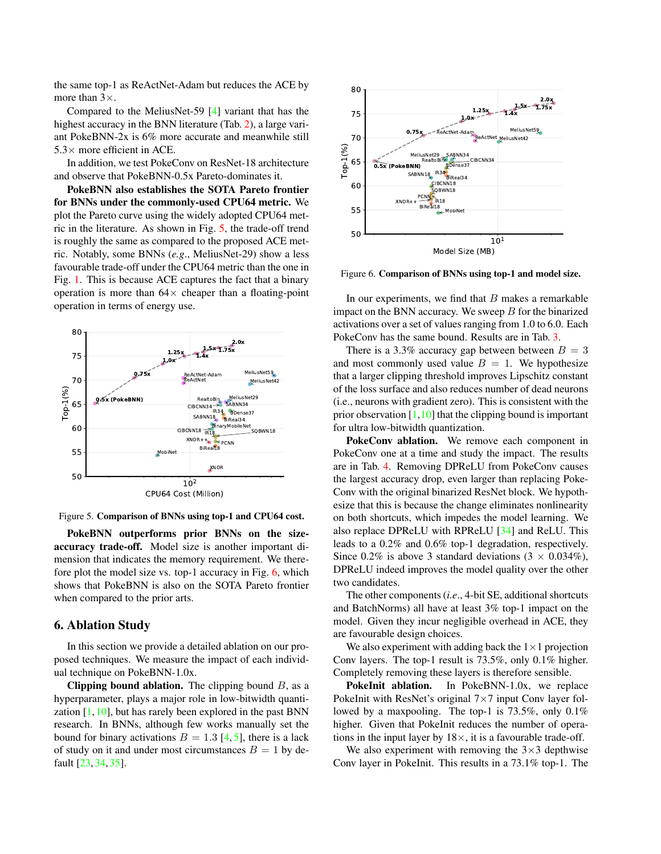<span id="page-6-3"></span>the same top-1 as ReActNet-Adam but reduces the ACE by more than  $3\times$ .

Compared to the MeliusNet-59 [\[4\]](#page-8-17) variant that has the highest accuracy in the BNN literature (Tab. [2\)](#page-7-0), a large variant PokeBNN-2x is 6% more accurate and meanwhile still  $5.3\times$  more efficient in ACE.

In addition, we test PokeConv on ResNet-18 architecture and observe that PokeBNN-0.5x Pareto-dominates it.

PokeBNN also establishes the SOTA Pareto frontier for BNNs under the commonly-used CPU64 metric. We plot the Pareto curve using the widely adopted CPU64 metric in the literature. As shown in Fig. [5,](#page-6-1) the trade-off trend is roughly the same as compared to the proposed ACE metric. Notably, some BNNs (*e.g*., MeliusNet-29) show a less favourable trade-off under the CPU64 metric than the one in Fig. [1.](#page-0-2) This is because ACE captures the fact that a binary operation is more than  $64\times$  cheaper than a floating-point operation in terms of energy use.

<span id="page-6-1"></span>

Figure 5. Comparison of BNNs using top-1 and CPU64 cost.

PokeBNN outperforms prior BNNs on the sizeaccuracy trade-off. Model size is another important dimension that indicates the memory requirement. We therefore plot the model size vs. top-1 accuracy in Fig. [6,](#page-6-2) which shows that PokeBNN is also on the SOTA Pareto frontier when compared to the prior arts.

## <span id="page-6-0"></span>6. Ablation Study

In this section we provide a detailed ablation on our proposed techniques. We measure the impact of each individual technique on PokeBNN-1.0x.

Clipping bound ablation. The clipping bound  $B$ , as a hyperparameter, plays a major role in low-bitwidth quantization  $[1,10]$  $[1,10]$ , but has rarely been explored in the past BNN research. In BNNs, although few works manually set the bound for binary activations  $B = 1.3$  [\[4,](#page-8-17) [5\]](#page-8-23), there is a lack of study on it and under most circumstances  $B = 1$  by default [\[23,](#page-8-2) [34,](#page-9-2) [35\]](#page-9-11).

<span id="page-6-2"></span>

Figure 6. Comparison of BNNs using top-1 and model size.

In our experiments, we find that  $B$  makes a remarkable impact on the BNN accuracy. We sweep  $B$  for the binarized activations over a set of values ranging from 1.0 to 6.0. Each PokeConv has the same bound. Results are in Tab. [3.](#page-7-1)

There is a 3.3% accuracy gap between between  $B = 3$ and most commonly used value  $B = 1$ . We hypothesize that a larger clipping threshold improves Lipschitz constant of the loss surface and also reduces number of dead neurons (i.e., neurons with gradient zero). This is consistent with the prior observation  $[1,10]$  $[1,10]$  that the clipping bound is important for ultra low-bitwidth quantization.

PokeConv ablation. We remove each component in PokeConv one at a time and study the impact. The results are in Tab. [4.](#page-7-2) Removing DPReLU from PokeConv causes the largest accuracy drop, even larger than replacing Poke-Conv with the original binarized ResNet block. We hypothesize that this is because the change eliminates nonlinearity on both shortcuts, which impedes the model learning. We also replace DPReLU with RPReLU [\[34\]](#page-9-2) and ReLU. This leads to a 0.2% and 0.6% top-1 degradation, respectively. Since 0.2% is above 3 standard deviations  $(3 \times 0.034\%)$ , DPReLU indeed improves the model quality over the other two candidates.

The other components (*i.e*., 4-bit SE, additional shortcuts and BatchNorms) all have at least 3% top-1 impact on the model. Given they incur negligible overhead in ACE, they are favourable design choices.

We also experiment with adding back the  $1 \times 1$  projection Conv layers. The top-1 result is 73.5%, only 0.1% higher. Completely removing these layers is therefore sensible.

PokeInit ablation. In PokeBNN-1.0x, we replace PokeInit with ResNet's original  $7\times7$  input Conv layer followed by a maxpooling. The top-1 is 73.5%, only 0.1% higher. Given that PokeInit reduces the number of operations in the input layer by  $18\times$ , it is a favourable trade-off.

We also experiment with removing the  $3\times3$  depthwise Conv layer in PokeInit. This results in a 73.1% top-1. The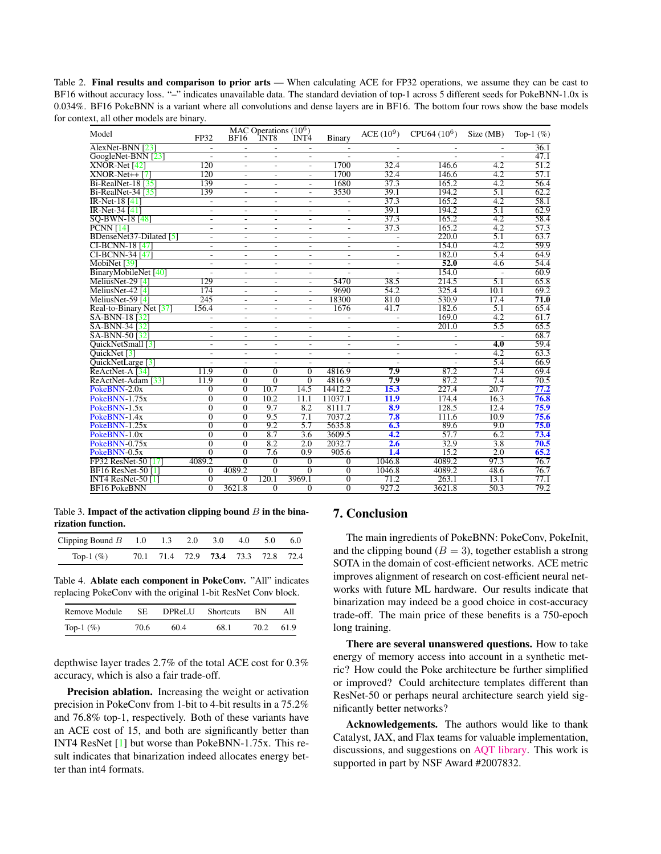<span id="page-7-3"></span><span id="page-7-0"></span>Table 2. Final results and comparison to prior arts — When calculating ACE for FP32 operations, we assume they can be cast to BF16 without accuracy loss. "–" indicates unavailable data. The standard deviation of top-1 across 5 different seeds for PokeBNN-1.0x is 0.034%. BF16 PokeBNN is a variant where all convolutions and dense layers are in BF16. The bottom four rows show the base models for context, all other models are binary.

| Model                                | FP32                     | <b>BF16</b>              | MAC Operations $(10^6)$<br>INT8 | INT <sub>4</sub>         | Binary                   | $ACE (10^9)$             | $CPU64 (10^6)$           | Size (MB)                | Top-1 $(\%)$      |
|--------------------------------------|--------------------------|--------------------------|---------------------------------|--------------------------|--------------------------|--------------------------|--------------------------|--------------------------|-------------------|
| AlexNet-BNN [23]                     | $\overline{\phantom{a}}$ | $\overline{\phantom{a}}$ | $\sim$                          | $\overline{\phantom{a}}$ | $\overline{\phantom{a}}$ | ٠                        | ٠                        | $\overline{\phantom{a}}$ | 36.1              |
| GoogleNet-BNN [23]                   |                          | $\overline{\phantom{a}}$ | $\overline{\phantom{a}}$        | $\overline{\phantom{a}}$ |                          |                          |                          |                          | 47.1              |
| $XNOR-Net [42]$                      | 120                      | $\overline{a}$           | $\overline{a}$                  |                          | 1700                     | 32.4                     | 146.6                    | 4.2                      | $\overline{51.2}$ |
| $XNOR-Net++ [7]$                     | 120                      | $\overline{\phantom{a}}$ | ٠                               | $\overline{a}$           | 1700                     | 32.4                     | 146.6                    | 4.2                      | 57.1              |
| $Bi-RealNet-18 [35]$                 | 139                      | $\overline{\phantom{a}}$ | $\overline{\phantom{a}}$        | $\overline{\phantom{a}}$ | 1680                     | 37.3                     | 165.2                    | 4.2                      | 56.4              |
| $Bi-RealNet-34 [35]$                 | 139                      | ÷.                       | ÷.                              | ÷.                       | 3530                     | 39.1                     | 194.2                    | 5.1                      | 62.2              |
| <b>IR-Net-18</b> [41]                | $\overline{\phantom{a}}$ | $\overline{\phantom{a}}$ | $\sim$                          | ٠                        | $\overline{\phantom{a}}$ | 37.3                     | 165.2                    | 4.2                      | 58.1              |
| $IR-Net-34[41]$                      | $\overline{\phantom{a}}$ | $\overline{\phantom{a}}$ | $\overline{\phantom{a}}$        | ٠                        | $\overline{\phantom{a}}$ | 39.1                     | 194.2                    | 5.1                      | 62.9              |
| SO-BWN-18 [48]                       | $\overline{a}$           | $\overline{\phantom{a}}$ | ٠                               | ٠                        | L,                       | 37.3                     | 165.2                    | 4.2                      | 58.4              |
| <b>PCNN</b> [14]                     | L,                       | $\overline{a}$           | $\overline{\phantom{a}}$        | $\overline{\phantom{a}}$ | $\overline{a}$           | 37.3                     | 165.2                    | 4.2                      | $\overline{57.3}$ |
| BDenseNet37-Dilated [5]              | $\overline{a}$           | $\overline{a}$           | $\overline{a}$                  | $\overline{a}$           | $\overline{a}$           | $\overline{a}$           | 220.0                    | $\overline{5.1}$         | 63.7              |
| <b>CI-BCNN-18</b> [47]               | $\overline{\phantom{a}}$ | $\overline{\phantom{a}}$ | $\blacksquare$                  | $\overline{\phantom{a}}$ | $\overline{\phantom{a}}$ | $\overline{\phantom{a}}$ | 154.0                    | 4.2                      | 59.9              |
| CI-BCNN-34 [47]                      | $\overline{\phantom{a}}$ | $\overline{\phantom{a}}$ | $\overline{\phantom{a}}$        | $\overline{\phantom{a}}$ | $\overline{\phantom{a}}$ | $\overline{\phantom{a}}$ | 182.0                    | 5.4                      | 64.9              |
| MobiNet [39]                         | $\overline{a}$           | $\overline{\phantom{a}}$ | $\overline{a}$                  | ٠                        | L,                       | $\overline{a}$           | 52.0                     | 4.6                      | 54.4              |
| BinaryMobileNet [40]                 | $\overline{a}$           | $\overline{a}$           | $\overline{a}$                  | $\overline{a}$           | J.                       |                          | 154.0                    | ÷.                       | 60.9              |
| MeliusNet-29 [4]                     | 129                      | $\overline{\phantom{a}}$ | $\overline{\phantom{a}}$        | $\overline{\phantom{a}}$ | 5470                     | 38.5                     | 214.5                    | 5.1                      | 65.8              |
| $\overline{\text{MeliusNet-42}}$ [4] | 174                      | ÷.                       | ÷.                              | ÷.                       | 9690                     | 54.2                     | 325.4                    | 10.1                     | 69.2              |
| MeliusNet-59 [4]                     | 245                      | $\overline{\phantom{a}}$ | $\sim$                          | ÷.                       | 18300                    | 81.0                     | 530.9                    | 17.4                     | 71.0              |
| Real-to-Binary Net [37]              | 156.4                    | $\overline{\phantom{a}}$ | $\overline{\phantom{a}}$        | $\overline{\phantom{a}}$ | 1676                     | 41.7                     | 182.6                    | 5.1                      | 65.4              |
| SA-BNN-18 <sup>[32]</sup>            | $\overline{\phantom{a}}$ | $\overline{a}$           | ٠                               | ٠                        | $\overline{\phantom{a}}$ | $\overline{\phantom{a}}$ | 169.0                    | 4.2                      | 61.7              |
| SA-BNN-34 [32]                       | $\overline{a}$           | $\overline{a}$           | ٠                               | ٠                        | $\overline{\phantom{a}}$ | $\overline{\phantom{a}}$ | 201.0                    | 5.5                      | 65.5              |
| SA-BNN-50 [32]                       | $\overline{a}$           | $\overline{\phantom{a}}$ | $\sim$                          | ٠                        | ٠                        | $\overline{\phantom{a}}$ |                          |                          | 68.7              |
| QuickNetSmall [3]                    | $\overline{\phantom{a}}$ | $\overline{\phantom{a}}$ | $\overline{\phantom{a}}$        | $\blacksquare$           | $\overline{\phantom{a}}$ | $\overline{\phantom{a}}$ | $\overline{\phantom{a}}$ | $\overline{4.0}$         | 59.4              |
| QuickNet <sup>[3]</sup>              | $\overline{\phantom{a}}$ | $\overline{\phantom{a}}$ | $\overline{\phantom{a}}$        | $\overline{\phantom{a}}$ | $\overline{\phantom{a}}$ | $\overline{\phantom{a}}$ | ٠                        | 4.2                      | 63.3              |
| QuickNetLarge <sup>[3]</sup>         |                          | $\overline{a}$           | $\overline{a}$                  |                          |                          |                          |                          | 5.4                      | 66.9              |
| ReActNet-A <sup>[34]</sup>           | 11.9                     | $\overline{0}$           | $\overline{0}$                  | $\mathbf{0}$             | 4816.9                   | 7.9                      | 87.2                     | 7.4                      | 69.4              |
| ReActNet-Adam [33]                   | 11.9                     | $\Omega$                 | $\overline{0}$                  | $\overline{0}$           | 4816.9                   | 7.9                      | 87.2                     | 7.4                      | 70.5              |
| PokeBNN-2.0x                         | $\Omega$                 | $\Omega$                 | 10.7                            | 14.5                     | 14412.2                  | 15.3                     | 227.4                    | 20.7                     | 77.2              |
| PokeBNN-1.75x                        | $\mathbf{0}$             | $\overline{0}$           | 10.2                            | 11.1                     | 11037.1                  | 11.9                     | 174.4                    | 16.3                     | 76.8              |
| PokeBNN-1.5x                         | $\Omega$                 | $\overline{0}$           | 9.7                             | 8.2                      | 8111.7                   | 8.9                      | 128.5                    | 12.4                     | 75.9              |
| PokeBNN-1.4x                         | $\overline{0}$           | $\Omega$                 | 9.5                             | 7.1                      | 7037.2                   | 7.8                      | 111.6                    | 10.9                     | 75.6              |
| PokeBNN-1.25x                        | $\overline{0}$           | $\overline{0}$           | 9.2                             | 5.7                      | 5635.8                   | 6.3                      | 89.6                     | 9.0                      | 75.0              |
| PokeBNN-1.0x                         | $\overline{0}$           | $\Omega$                 | 8.7                             | 3.6                      | 3609.5                   | 4.2                      | 57.7                     | 6.2                      | 73.4              |
| PokeBNN-0.75x                        | $\overline{0}$           | $\overline{0}$           | 8.2                             | 2.0                      | 2032.7                   | 2.6                      | 32.9                     | 3.8                      | 70.5              |
| PokeBNN-0.5x                         | $\overline{0}$           | $\overline{0}$           | 7.6                             | 0.9                      | 905.6                    | 1.4                      | 15.2                     | 2.0                      | 65.2              |
| FP32 ResNet-50 [17]                  | 4089.2                   | $\Omega$                 | $\theta$                        | $\Omega$                 | $\theta$                 | 1046.8                   | 4089.2                   | 97.3                     | 76.7              |
| <b>BF16 ResNet-50 [1]</b>            | 0                        | 4089.2                   | $\overline{0}$                  | $\overline{0}$           | $\overline{0}$           | 1046.8                   | 4089.2                   | 48.6                     | 76.7              |
| <b>INT4 ResNet-50 [1]</b>            | $\overline{0}$           | $\overline{0}$           | 120.1                           | 3969.1                   | $\overline{0}$           | 71.2                     | 263.1                    | 13.1                     | 77.1              |
| <b>BF16 PokeBNN</b>                  | $\overline{0}$           | 3621.8                   | $\overline{0}$                  | $\overline{0}$           | $\overline{0}$           | 927.2                    | 3621.8                   | 50.3                     | 79.2              |

<span id="page-7-1"></span>Table 3. Impact of the activation clipping bound  $B$  in the binarization function.

| Clipping Bound $B = 1.0$ $1.3$ $2.0$ $3.0$ $4.0$ $5.0$ $6.0$ |                                           |  |  |  |
|--------------------------------------------------------------|-------------------------------------------|--|--|--|
| Top-1 $(\% )$                                                | 70.1 71.4 72.9 <b>73.4</b> 73.3 72.8 72.4 |  |  |  |

<span id="page-7-2"></span>Table 4. Ablate each component in PokeConv. "All" indicates replacing PokeConv with the original 1-bit ResNet Conv block.

| Remove Module | SE   | DPReLU | <b>Shortcuts</b> | <b>BN</b> | All  |
|---------------|------|--------|------------------|-----------|------|
| Top-1 $(\%)$  | 70.6 | 60.4   | 68.1             | 70.2      | 61.9 |

depthwise layer trades 2.7% of the total ACE cost for 0.3% accuracy, which is also a fair trade-off.

Precision ablation. Increasing the weight or activation precision in PokeConv from 1-bit to 4-bit results in a 75.2% and 76.8% top-1, respectively. Both of these variants have an ACE cost of 15, and both are significantly better than INT4 ResNet [\[1\]](#page-8-16) but worse than PokeBNN-1.75x. This result indicates that binarization indeed allocates energy better than int4 formats.

## 7. Conclusion

The main ingredients of PokeBNN: PokeConv, PokeInit, and the clipping bound ( $B = 3$ ), together establish a strong SOTA in the domain of cost-efficient networks. ACE metric improves alignment of research on cost-efficient neural networks with future ML hardware. Our results indicate that binarization may indeed be a good choice in cost-accuracy trade-off. The main price of these benefits is a 750-epoch long training.

There are several unanswered questions. How to take energy of memory access into account in a synthetic metric? How could the Poke architecture be further simplified or improved? Could architecture templates different than ResNet-50 or perhaps neural architecture search yield significantly better networks?

Acknowledgements. The authors would like to thank Catalyst, JAX, and Flax teams for valuable implementation, discussions, and suggestions on [AQT library.](https://github.com/google/aqt) This work is supported in part by NSF Award #2007832.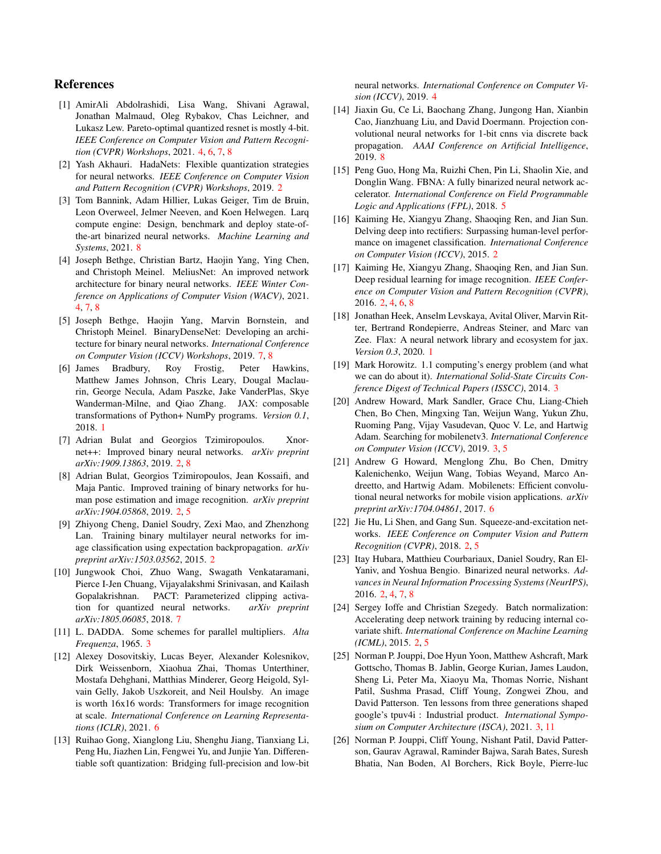## References

- <span id="page-8-16"></span>[1] AmirAli Abdolrashidi, Lisa Wang, Shivani Agrawal, Jonathan Malmaud, Oleg Rybakov, Chas Leichner, and Lukasz Lew. Pareto-optimal quantized resnet is mostly 4-bit. *IEEE Conference on Computer Vision and Pattern Recognition (CVPR) Workshops*, 2021. [4,](#page-3-2) [6,](#page-5-1) [7,](#page-6-3) [8](#page-7-3)
- <span id="page-8-6"></span>[2] Yash Akhauri. HadaNets: Flexible quantization strategies for neural networks. *IEEE Conference on Computer Vision and Pattern Recognition (CVPR) Workshops*, 2019. [2](#page-1-1)
- <span id="page-8-25"></span>[3] Tom Bannink, Adam Hillier, Lukas Geiger, Tim de Bruin, Leon Overweel, Jelmer Neeven, and Koen Helwegen. Larq compute engine: Design, benchmark and deploy state-ofthe-art binarized neural networks. *Machine Learning and Systems*, 2021. [8](#page-7-3)
- <span id="page-8-17"></span>[4] Joseph Bethge, Christian Bartz, Haojin Yang, Ying Chen, and Christoph Meinel. MeliusNet: An improved network architecture for binary neural networks. *IEEE Winter Conference on Applications of Computer Vision (WACV)*, 2021. [4,](#page-3-2) [7,](#page-6-3) [8](#page-7-3)
- <span id="page-8-23"></span>[5] Joseph Bethge, Haojin Yang, Marvin Bornstein, and Christoph Meinel. BinaryDenseNet: Developing an architecture for binary neural networks. *International Conference on Computer Vision (ICCV) Workshops*, 2019. [7,](#page-6-3) [8](#page-7-3)
- <span id="page-8-0"></span>[6] James Bradbury, Roy Frostig, Peter Hawkins, Matthew James Johnson, Chris Leary, Dougal Maclaurin, George Necula, Adam Paszke, Jake VanderPlas, Skye Wanderman-Milne, and Qiao Zhang. JAX: composable transformations of Python+ NumPy programs. *Version 0.1*, 2018. [1](#page-0-3)
- <span id="page-8-7"></span>[7] Adrian Bulat and Georgios Tzimiropoulos. Xnornet++: Improved binary neural networks. *arXiv preprint arXiv:1909.13863*, 2019. [2,](#page-1-1) [8](#page-7-3)
- <span id="page-8-5"></span>[8] Adrian Bulat, Georgios Tzimiropoulos, Jean Kossaifi, and Maja Pantic. Improved training of binary networks for human pose estimation and image recognition. *arXiv preprint arXiv:1904.05868*, 2019. [2,](#page-1-1) [5](#page-4-1)
- <span id="page-8-4"></span>[9] Zhiyong Cheng, Daniel Soudry, Zexi Mao, and Zhenzhong Lan. Training binary multilayer neural networks for image classification using expectation backpropagation. *arXiv preprint arXiv:1503.03562*, 2015. [2](#page-1-1)
- <span id="page-8-22"></span>[10] Jungwook Choi, Zhuo Wang, Swagath Venkataramani, Pierce I-Jen Chuang, Vijayalakshmi Srinivasan, and Kailash Gopalakrishnan. PACT: Parameterized clipping activation for quantized neural networks. *arXiv preprint arXiv:1805.06085*, 2018. [7](#page-6-3)
- <span id="page-8-13"></span>[11] L. DADDA. Some schemes for parallel multipliers. *Alta Frequenza*, 1965. [3](#page-2-3)
- <span id="page-8-20"></span>[12] Alexey Dosovitskiy, Lucas Beyer, Alexander Kolesnikov, Dirk Weissenborn, Xiaohua Zhai, Thomas Unterthiner, Mostafa Dehghani, Matthias Minderer, Georg Heigold, Sylvain Gelly, Jakob Uszkoreit, and Neil Houlsby. An image is worth 16x16 words: Transformers for image recognition at scale. *International Conference on Learning Representations (ICLR)*, 2021. [6](#page-5-1)
- <span id="page-8-18"></span>[13] Ruihao Gong, Xianglong Liu, Shenghu Jiang, Tianxiang Li, Peng Hu, Jiazhen Lin, Fengwei Yu, and Junjie Yan. Differentiable soft quantization: Bridging full-precision and low-bit

neural networks. *International Conference on Computer Vision (ICCV)*, 2019. [4](#page-3-2)

- <span id="page-8-24"></span>[14] Jiaxin Gu, Ce Li, Baochang Zhang, Jungong Han, Xianbin Cao, Jianzhuang Liu, and David Doermann. Projection convolutional neural networks for 1-bit cnns via discrete back propagation. *AAAI Conference on Artificial Intelligence*, 2019. [8](#page-7-3)
- <span id="page-8-19"></span>[15] Peng Guo, Hong Ma, Ruizhi Chen, Pin Li, Shaolin Xie, and Donglin Wang. FBNA: A fully binarized neural network accelerator. *International Conference on Field Programmable Logic and Applications (FPL)*, 2018. [5](#page-4-1)
- <span id="page-8-10"></span>[16] Kaiming He, Xiangyu Zhang, Shaoqing Ren, and Jian Sun. Delving deep into rectifiers: Surpassing human-level performance on imagenet classification. *International Conference on Computer Vision (ICCV)*, 2015. [2](#page-1-1)
- <span id="page-8-3"></span>[17] Kaiming He, Xiangyu Zhang, Shaoqing Ren, and Jian Sun. Deep residual learning for image recognition. *IEEE Conference on Computer Vision and Pattern Recognition (CVPR)*, 2016. [2,](#page-1-1) [4,](#page-3-2) [6,](#page-5-1) [8](#page-7-3)
- <span id="page-8-1"></span>[18] Jonathan Heek, Anselm Levskaya, Avital Oliver, Marvin Ritter, Bertrand Rondepierre, Andreas Steiner, and Marc van Zee. Flax: A neural network library and ecosystem for jax. *Version 0.3*, 2020. [1](#page-0-3)
- <span id="page-8-14"></span>[19] Mark Horowitz. 1.1 computing's energy problem (and what we can do about it). *International Solid-State Circuits Conference Digest of Technical Papers (ISSCC)*, 2014. [3](#page-2-3)
- <span id="page-8-15"></span>[20] Andrew Howard, Mark Sandler, Grace Chu, Liang-Chieh Chen, Bo Chen, Mingxing Tan, Weijun Wang, Yukun Zhu, Ruoming Pang, Vijay Vasudevan, Quoc V. Le, and Hartwig Adam. Searching for mobilenetv3. *International Conference on Computer Vision (ICCV)*, 2019. [3,](#page-2-3) [5](#page-4-1)
- <span id="page-8-21"></span>[21] Andrew G Howard, Menglong Zhu, Bo Chen, Dmitry Kalenichenko, Weijun Wang, Tobias Weyand, Marco Andreetto, and Hartwig Adam. Mobilenets: Efficient convolutional neural networks for mobile vision applications. *arXiv preprint arXiv:1704.04861*, 2017. [6](#page-5-1)
- <span id="page-8-8"></span>[22] Jie Hu, Li Shen, and Gang Sun. Squeeze-and-excitation networks. *IEEE Conference on Computer Vision and Pattern Recognition (CVPR)*, 2018. [2,](#page-1-1) [5](#page-4-1)
- <span id="page-8-2"></span>[23] Itay Hubara, Matthieu Courbariaux, Daniel Soudry, Ran El-Yaniv, and Yoshua Bengio. Binarized neural networks. *Advances in Neural Information Processing Systems (NeurIPS)*, 2016. [2,](#page-1-1) [4,](#page-3-2) [7,](#page-6-3) [8](#page-7-3)
- <span id="page-8-9"></span>[24] Sergey Ioffe and Christian Szegedy. Batch normalization: Accelerating deep network training by reducing internal covariate shift. *International Conference on Machine Learning (ICML)*, 2015. [2,](#page-1-1) [5](#page-4-1)
- <span id="page-8-11"></span>[25] Norman P. Jouppi, Doe Hyun Yoon, Matthew Ashcraft, Mark Gottscho, Thomas B. Jablin, George Kurian, James Laudon, Sheng Li, Peter Ma, Xiaoyu Ma, Thomas Norrie, Nishant Patil, Sushma Prasad, Cliff Young, Zongwei Zhou, and David Patterson. Ten lessons from three generations shaped google's tpuv4i : Industrial product. *International Symposium on Computer Architecture (ISCA)*, 2021. [3,](#page-2-3) [11](#page-10-0)
- <span id="page-8-12"></span>[26] Norman P. Jouppi, Cliff Young, Nishant Patil, David Patterson, Gaurav Agrawal, Raminder Bajwa, Sarah Bates, Suresh Bhatia, Nan Boden, Al Borchers, Rick Boyle, Pierre-luc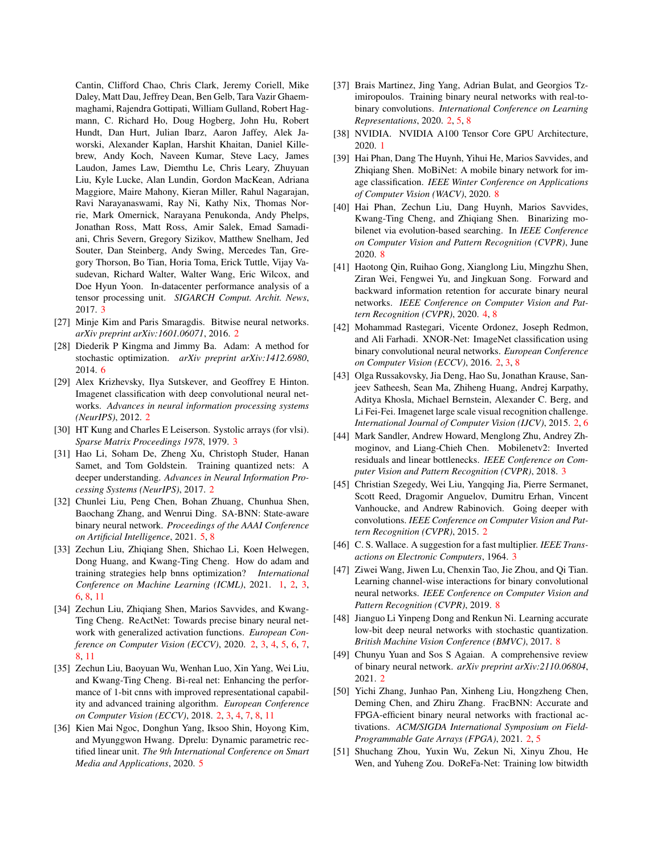Cantin, Clifford Chao, Chris Clark, Jeremy Coriell, Mike Daley, Matt Dau, Jeffrey Dean, Ben Gelb, Tara Vazir Ghaemmaghami, Rajendra Gottipati, William Gulland, Robert Hagmann, C. Richard Ho, Doug Hogberg, John Hu, Robert Hundt, Dan Hurt, Julian Ibarz, Aaron Jaffey, Alek Jaworski, Alexander Kaplan, Harshit Khaitan, Daniel Killebrew, Andy Koch, Naveen Kumar, Steve Lacy, James Laudon, James Law, Diemthu Le, Chris Leary, Zhuyuan Liu, Kyle Lucke, Alan Lundin, Gordon MacKean, Adriana Maggiore, Maire Mahony, Kieran Miller, Rahul Nagarajan, Ravi Narayanaswami, Ray Ni, Kathy Nix, Thomas Norrie, Mark Omernick, Narayana Penukonda, Andy Phelps, Jonathan Ross, Matt Ross, Amir Salek, Emad Samadiani, Chris Severn, Gregory Sizikov, Matthew Snelham, Jed Souter, Dan Steinberg, Andy Swing, Mercedes Tan, Gregory Thorson, Bo Tian, Horia Toma, Erick Tuttle, Vijay Vasudevan, Richard Walter, Walter Wang, Eric Wilcox, and Doe Hyun Yoon. In-datacenter performance analysis of a tensor processing unit. *SIGARCH Comput. Archit. News*, 2017. [3](#page-2-3)

- <span id="page-9-6"></span>[27] Minje Kim and Paris Smaragdis. Bitwise neural networks. *arXiv preprint arXiv:1601.06071*, 2016. [2](#page-1-1)
- <span id="page-9-20"></span>[28] Diederik P Kingma and Jimmy Ba. Adam: A method for stochastic optimization. *arXiv preprint arXiv:1412.6980*, 2014. [6](#page-5-1)
- <span id="page-9-7"></span>[29] Alex Krizhevsky, Ilya Sutskever, and Geoffrey E Hinton. Imagenet classification with deep convolutional neural networks. *Advances in neural information processing systems (NeurIPS)*, 2012. [2](#page-1-1)
- <span id="page-9-13"></span>[30] HT Kung and Charles E Leiserson. Systolic arrays (for vlsi). *Sparse Matrix Proceedings 1978*, 1979. [3](#page-2-3)
- <span id="page-9-3"></span>[31] Hao Li, Soham De, Zheng Xu, Christoph Studer, Hanan Samet, and Tom Goldstein. Training quantized nets: A deeper understanding. *Advances in Neural Information Processing Systems (NeurIPS)*, 2017. [2](#page-1-1)
- <span id="page-9-19"></span>[32] Chunlei Liu, Peng Chen, Bohan Zhuang, Chunhua Shen, Baochang Zhang, and Wenrui Ding. SA-BNN: State-aware binary neural network. *Proceedings of the AAAI Conference on Artificial Intelligence*, 2021. [5,](#page-4-1) [8](#page-7-3)
- <span id="page-9-0"></span>[33] Zechun Liu, Zhiqiang Shen, Shichao Li, Koen Helwegen, Dong Huang, and Kwang-Ting Cheng. How do adam and training strategies help bnns optimization? *International Conference on Machine Learning (ICML)*, 2021. [1,](#page-0-3) [2,](#page-1-1) [3,](#page-2-3) [6,](#page-5-1) [8,](#page-7-3) [11](#page-10-0)
- <span id="page-9-2"></span>[34] Zechun Liu, Zhiqiang Shen, Marios Savvides, and Kwang-Ting Cheng. ReActNet: Towards precise binary neural network with generalized activation functions. *European Conference on Computer Vision (ECCV)*, 2020. [2,](#page-1-1) [3,](#page-2-3) [4,](#page-3-2) [5,](#page-4-1) [6,](#page-5-1) [7,](#page-6-3) [8,](#page-7-3) [11](#page-10-0)
- <span id="page-9-11"></span>[35] Zechun Liu, Baoyuan Wu, Wenhan Luo, Xin Yang, Wei Liu, and Kwang-Ting Cheng. Bi-real net: Enhancing the performance of 1-bit cnns with improved representational capability and advanced training algorithm. *European Conference on Computer Vision (ECCV)*, 2018. [2,](#page-1-1) [3,](#page-2-3) [4,](#page-3-2) [7,](#page-6-3) [8,](#page-7-3) [11](#page-10-0)
- <span id="page-9-18"></span>[36] Kien Mai Ngoc, Donghun Yang, Iksoo Shin, Hoyong Kim, and Myunggwon Hwang. Dprelu: Dynamic parametric rectified linear unit. *The 9th International Conference on Smart Media and Applications*, 2020. [5](#page-4-1)
- <span id="page-9-9"></span>[37] Brais Martinez, Jing Yang, Adrian Bulat, and Georgios Tzimiropoulos. Training binary neural networks with real-tobinary convolutions. *International Conference on Learning Representations*, 2020. [2,](#page-1-1) [5,](#page-4-1) [8](#page-7-3)
- <span id="page-9-1"></span>[38] NVIDIA. NVIDIA A100 Tensor Core GPU Architecture, 2020. [1](#page-0-3)
- <span id="page-9-23"></span>[39] Hai Phan, Dang The Huynh, Yihui He, Marios Savvides, and Zhiqiang Shen. MoBiNet: A mobile binary network for image classification. *IEEE Winter Conference on Applications of Computer Vision (WACV)*, 2020. [8](#page-7-3)
- <span id="page-9-24"></span>[40] Hai Phan, Zechun Liu, Dang Huynh, Marios Savvides, Kwang-Ting Cheng, and Zhiqiang Shen. Binarizing mobilenet via evolution-based searching. In *IEEE Conference on Computer Vision and Pattern Recognition (CVPR)*, June 2020. [8](#page-7-3)
- <span id="page-9-16"></span>[41] Haotong Qin, Ruihao Gong, Xianglong Liu, Mingzhu Shen, Ziran Wei, Fengwei Yu, and Jingkuan Song. Forward and backward information retention for accurate binary neural networks. *IEEE Conference on Computer Vision and Pattern Recognition (CVPR)*, 2020. [4,](#page-3-2) [8](#page-7-3)
- <span id="page-9-10"></span>[42] Mohammad Rastegari, Vicente Ordonez, Joseph Redmon, and Ali Farhadi. XNOR-Net: ImageNet classification using binary convolutional neural networks. *European Conference on Computer Vision (ECCV)*, 2016. [2,](#page-1-1) [3,](#page-2-3) [8](#page-7-3)
- <span id="page-9-4"></span>[43] Olga Russakovsky, Jia Deng, Hao Su, Jonathan Krause, Sanjeev Satheesh, Sean Ma, Zhiheng Huang, Andrej Karpathy, Aditya Khosla, Michael Bernstein, Alexander C. Berg, and Li Fei-Fei. Imagenet large scale visual recognition challenge. *International Journal of Computer Vision (IJCV)*, 2015. [2,](#page-1-1) [6](#page-5-1)
- <span id="page-9-15"></span>[44] Mark Sandler, Andrew Howard, Menglong Zhu, Andrey Zhmoginov, and Liang-Chieh Chen. Mobilenetv2: Inverted residuals and linear bottlenecks. *IEEE Conference on Computer Vision and Pattern Recognition (CVPR)*, 2018. [3](#page-2-3)
- <span id="page-9-8"></span>[45] Christian Szegedy, Wei Liu, Yangqing Jia, Pierre Sermanet, Scott Reed, Dragomir Anguelov, Dumitru Erhan, Vincent Vanhoucke, and Andrew Rabinovich. Going deeper with convolutions. *IEEE Conference on Computer Vision and Pattern Recognition (CVPR)*, 2015. [2](#page-1-1)
- <span id="page-9-14"></span>[46] C. S. Wallace. A suggestion for a fast multiplier. *IEEE Transactions on Electronic Computers*, 1964. [3](#page-2-3)
- <span id="page-9-22"></span>[47] Ziwei Wang, Jiwen Lu, Chenxin Tao, Jie Zhou, and Qi Tian. Learning channel-wise interactions for binary convolutional neural networks. *IEEE Conference on Computer Vision and Pattern Recognition (CVPR)*, 2019. [8](#page-7-3)
- <span id="page-9-21"></span>[48] Jianguo Li Yinpeng Dong and Renkun Ni. Learning accurate low-bit deep neural networks with stochastic quantization. *British Machine Vision Conference (BMVC)*, 2017. [8](#page-7-3)
- <span id="page-9-5"></span>[49] Chunyu Yuan and Sos S Agaian. A comprehensive review of binary neural network. *arXiv preprint arXiv:2110.06804*, 2021. [2](#page-1-1)
- <span id="page-9-12"></span>[50] Yichi Zhang, Junhao Pan, Xinheng Liu, Hongzheng Chen, Deming Chen, and Zhiru Zhang. FracBNN: Accurate and FPGA-efficient binary neural networks with fractional activations. *ACM/SIGDA International Symposium on Field-Programmable Gate Arrays (FPGA)*, 2021. [2,](#page-1-1) [5](#page-4-1)
- <span id="page-9-17"></span>[51] Shuchang Zhou, Yuxin Wu, Zekun Ni, Xinyu Zhou, He Wen, and Yuheng Zou. DoReFa-Net: Training low bitwidth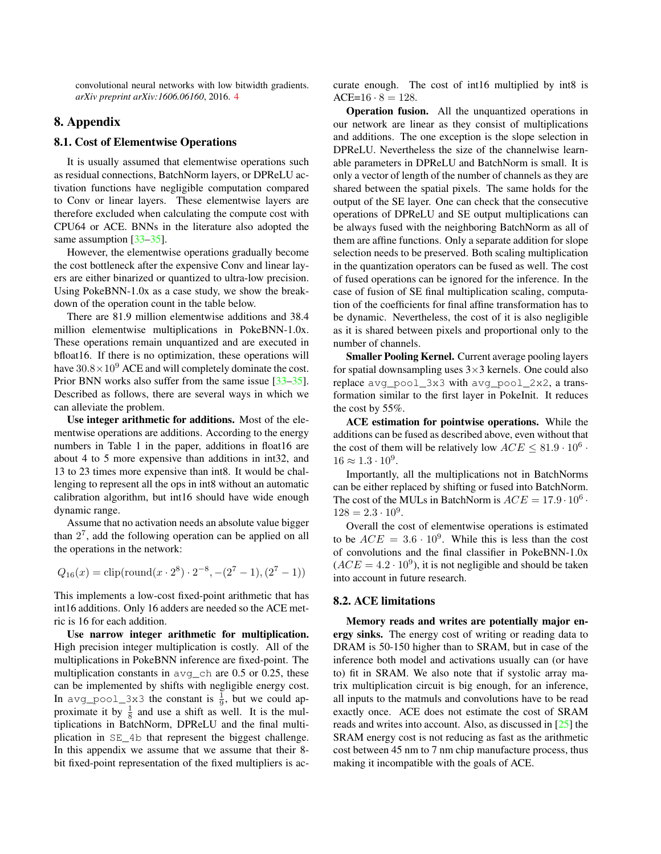<span id="page-10-0"></span>convolutional neural networks with low bitwidth gradients. *arXiv preprint arXiv:1606.06160*, 2016. [4](#page-3-2)

## 8. Appendix

## 8.1. Cost of Elementwise Operations

It is usually assumed that elementwise operations such as residual connections, BatchNorm layers, or DPReLU activation functions have negligible computation compared to Conv or linear layers. These elementwise layers are therefore excluded when calculating the compute cost with CPU64 or ACE. BNNs in the literature also adopted the same assumption [\[33](#page-9-0)[–35\]](#page-9-11).

However, the elementwise operations gradually become the cost bottleneck after the expensive Conv and linear layers are either binarized or quantized to ultra-low precision. Using PokeBNN-1.0x as a case study, we show the breakdown of the operation count in the table below.

There are 81.9 million elementwise additions and 38.4 million elementwise multiplications in PokeBNN-1.0x. These operations remain unquantized and are executed in bfloat16. If there is no optimization, these operations will have  $30.8 \times 10^9$  ACE and will completely dominate the cost. Prior BNN works also suffer from the same issue [\[33–](#page-9-0)[35\]](#page-9-11). Described as follows, there are several ways in which we can alleviate the problem.

Use integer arithmetic for additions. Most of the elementwise operations are additions. According to the energy numbers in Table 1 in the paper, additions in float16 are about 4 to 5 more expensive than additions in int32, and 13 to 23 times more expensive than int8. It would be challenging to represent all the ops in int8 without an automatic calibration algorithm, but int16 should have wide enough dynamic range.

Assume that no activation needs an absolute value bigger than  $2<sup>7</sup>$ , add the following operation can be applied on all the operations in the network:

$$
Q_{16}(x) = \text{clip}(\text{round}(x \cdot 2^8) \cdot 2^{-8}, -(2^7 - 1), (2^7 - 1))
$$

This implements a low-cost fixed-point arithmetic that has int16 additions. Only 16 adders are needed so the ACE metric is 16 for each addition.

Use narrow integer arithmetic for multiplication. High precision integer multiplication is costly. All of the multiplications in PokeBNN inference are fixed-point. The multiplication constants in  $\alpha$  and  $\alpha$  are 0.5 or 0.25, these can be implemented by shifts with negligible energy cost. In avg\_pool\_3x3 the constant is  $\frac{1}{9}$ , but we could approximate it by  $\frac{1}{8}$  and use a shift as well. It is the multiplications in BatchNorm, DPReLU and the final multiplication in SE\_4b that represent the biggest challenge. In this appendix we assume that we assume that their 8 bit fixed-point representation of the fixed multipliers is accurate enough. The cost of int16 multiplied by int8 is  $ACE=16 \cdot 8 = 128.$ 

Operation fusion. All the unquantized operations in our network are linear as they consist of multiplications and additions. The one exception is the slope selection in DPReLU. Nevertheless the size of the channelwise learnable parameters in DPReLU and BatchNorm is small. It is only a vector of length of the number of channels as they are shared between the spatial pixels. The same holds for the output of the SE layer. One can check that the consecutive operations of DPReLU and SE output multiplications can be always fused with the neighboring BatchNorm as all of them are affine functions. Only a separate addition for slope selection needs to be preserved. Both scaling multiplication in the quantization operators can be fused as well. The cost of fused operations can be ignored for the inference. In the case of fusion of SE final multiplication scaling, computation of the coefficients for final affine transformation has to be dynamic. Nevertheless, the cost of it is also negligible as it is shared between pixels and proportional only to the number of channels.

Smaller Pooling Kernel. Current average pooling layers for spatial downsampling uses  $3\times3$  kernels. One could also replace avg\_pool\_3x3 with avg\_pool\_2x2, a transformation similar to the first layer in PokeInit. It reduces the cost by 55%.

ACE estimation for pointwise operations. While the additions can be fused as described above, even without that the cost of them will be relatively low  $ACE \leq 81.9 \cdot 10^6$ .  $16 \approx 1.3 \cdot 10^{9}$ .

Importantly, all the multiplications not in BatchNorms can be either replaced by shifting or fused into BatchNorm. The cost of the MULs in BatchNorm is  $ACE = 17.9 \cdot 10^6$ .  $128 = 2.3 \cdot 10^9$ .

Overall the cost of elementwise operations is estimated to be  $ACE = 3.6 \cdot 10^9$ . While this is less than the cost of convolutions and the final classifier in PokeBNN-1.0x  $(ACE = 4.2 \cdot 10^9)$ , it is not negligible and should be taken into account in future research.

#### 8.2. ACE limitations

Memory reads and writes are potentially major energy sinks. The energy cost of writing or reading data to DRAM is 50-150 higher than to SRAM, but in case of the inference both model and activations usually can (or have to) fit in SRAM. We also note that if systolic array matrix multiplication circuit is big enough, for an inference, all inputs to the matmuls and convolutions have to be read exactly once. ACE does not estimate the cost of SRAM reads and writes into account. Also, as discussed in [\[25\]](#page-8-11) the SRAM energy cost is not reducing as fast as the arithmetic cost between 45 nm to 7 nm chip manufacture process, thus making it incompatible with the goals of ACE.